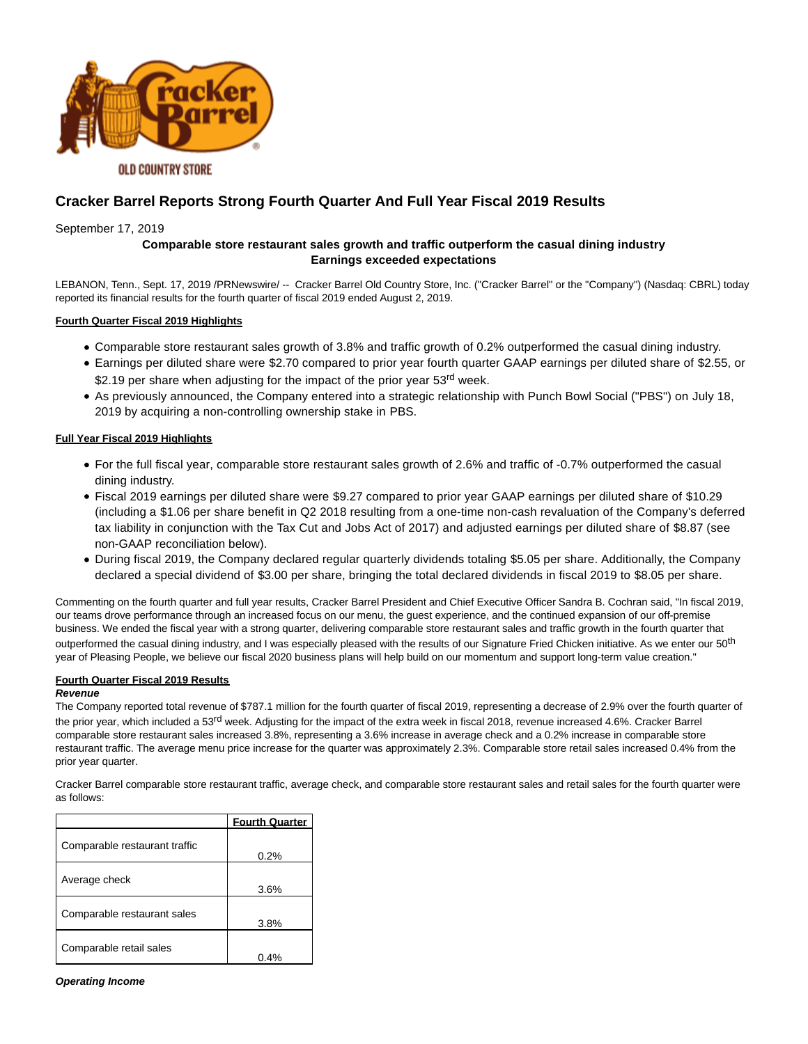

## **Cracker Barrel Reports Strong Fourth Quarter And Full Year Fiscal 2019 Results**

#### September 17, 2019

### **Comparable store restaurant sales growth and traffic outperform the casual dining industry Earnings exceeded expectations**

LEBANON, Tenn., Sept. 17, 2019 /PRNewswire/ -- Cracker Barrel Old Country Store, Inc. ("Cracker Barrel" or the "Company") (Nasdaq: CBRL) today reported its financial results for the fourth quarter of fiscal 2019 ended August 2, 2019.

#### **Fourth Quarter Fiscal 2019 Highlights**

- Comparable store restaurant sales growth of 3.8% and traffic growth of 0.2% outperformed the casual dining industry.
- Earnings per diluted share were \$2.70 compared to prior year fourth quarter GAAP earnings per diluted share of \$2.55, or \$2.19 per share when adjusting for the impact of the prior year 53<sup>rd</sup> week.
- As previously announced, the Company entered into a strategic relationship with Punch Bowl Social ("PBS") on July 18, 2019 by acquiring a non-controlling ownership stake in PBS.

#### **Full Year Fiscal 2019 Highlights**

- For the full fiscal year, comparable store restaurant sales growth of 2.6% and traffic of -0.7% outperformed the casual dining industry.
- Fiscal 2019 earnings per diluted share were \$9.27 compared to prior year GAAP earnings per diluted share of \$10.29 (including a \$1.06 per share benefit in Q2 2018 resulting from a one-time non-cash revaluation of the Company's deferred tax liability in conjunction with the Tax Cut and Jobs Act of 2017) and adjusted earnings per diluted share of \$8.87 (see non-GAAP reconciliation below).
- During fiscal 2019, the Company declared regular quarterly dividends totaling \$5.05 per share. Additionally, the Company declared a special dividend of \$3.00 per share, bringing the total declared dividends in fiscal 2019 to \$8.05 per share.

Commenting on the fourth quarter and full year results, Cracker Barrel President and Chief Executive Officer Sandra B. Cochran said, "In fiscal 2019, our teams drove performance through an increased focus on our menu, the guest experience, and the continued expansion of our off-premise business. We ended the fiscal year with a strong quarter, delivering comparable store restaurant sales and traffic growth in the fourth quarter that outperformed the casual dining industry, and I was especially pleased with the results of our Signature Fried Chicken initiative. As we enter our 50<sup>th</sup> year of Pleasing People, we believe our fiscal 2020 business plans will help build on our momentum and support long-term value creation."

#### **Fourth Quarter Fiscal 2019 Results**

#### **Revenue**

The Company reported total revenue of \$787.1 million for the fourth quarter of fiscal 2019, representing a decrease of 2.9% over the fourth quarter of the prior year, which included a 53<sup>rd</sup> week. Adjusting for the impact of the extra week in fiscal 2018, revenue increased 4.6%. Cracker Barrel comparable store restaurant sales increased 3.8%, representing a 3.6% increase in average check and a 0.2% increase in comparable store restaurant traffic. The average menu price increase for the quarter was approximately 2.3%. Comparable store retail sales increased 0.4% from the prior year quarter.

Cracker Barrel comparable store restaurant traffic, average check, and comparable store restaurant sales and retail sales for the fourth quarter were as follows:

|                               | <b>Fourth Quarter</b> |
|-------------------------------|-----------------------|
| Comparable restaurant traffic | 0.2%                  |
| Average check                 | 3.6%                  |
| Comparable restaurant sales   | 3.8%                  |
| Comparable retail sales       | $0.4\%$               |

#### **Operating Income**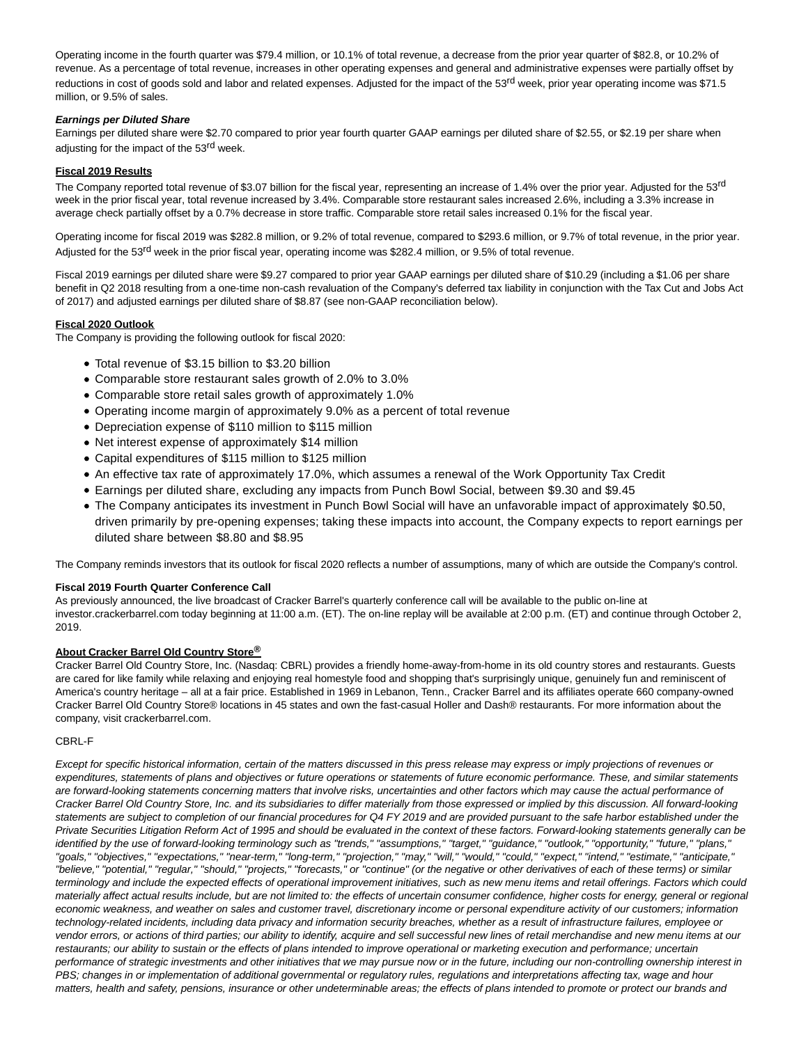Operating income in the fourth quarter was \$79.4 million, or 10.1% of total revenue, a decrease from the prior year quarter of \$82.8, or 10.2% of revenue. As a percentage of total revenue, increases in other operating expenses and general and administrative expenses were partially offset by reductions in cost of goods sold and labor and related expenses. Adjusted for the impact of the 53<sup>rd</sup> week, prior year operating income was \$71.5 million, or 9.5% of sales.

#### **Earnings per Diluted Share**

Earnings per diluted share were \$2.70 compared to prior year fourth quarter GAAP earnings per diluted share of \$2.55, or \$2.19 per share when adjusting for the impact of the 53<sup>rd</sup> week.

#### **Fiscal 2019 Results**

The Company reported total revenue of \$3.07 billion for the fiscal year, representing an increase of 1.4% over the prior year. Adjusted for the 53<sup>rd</sup> week in the prior fiscal year, total revenue increased by 3.4%. Comparable store restaurant sales increased 2.6%, including a 3.3% increase in average check partially offset by a 0.7% decrease in store traffic. Comparable store retail sales increased 0.1% for the fiscal year.

Operating income for fiscal 2019 was \$282.8 million, or 9.2% of total revenue, compared to \$293.6 million, or 9.7% of total revenue, in the prior year. Adjusted for the 53<sup>rd</sup> week in the prior fiscal year, operating income was \$282.4 million, or 9.5% of total revenue.

Fiscal 2019 earnings per diluted share were \$9.27 compared to prior year GAAP earnings per diluted share of \$10.29 (including a \$1.06 per share benefit in Q2 2018 resulting from a one-time non-cash revaluation of the Company's deferred tax liability in conjunction with the Tax Cut and Jobs Act of 2017) and adjusted earnings per diluted share of \$8.87 (see non-GAAP reconciliation below).

#### **Fiscal 2020 Outlook**

The Company is providing the following outlook for fiscal 2020:

- Total revenue of \$3.15 billion to \$3.20 billion
- Comparable store restaurant sales growth of 2.0% to 3.0%
- Comparable store retail sales growth of approximately 1.0%
- Operating income margin of approximately 9.0% as a percent of total revenue
- Depreciation expense of \$110 million to \$115 million
- Net interest expense of approximately \$14 million
- Capital expenditures of \$115 million to \$125 million
- An effective tax rate of approximately 17.0%, which assumes a renewal of the Work Opportunity Tax Credit
- Earnings per diluted share, excluding any impacts from Punch Bowl Social, between \$9.30 and \$9.45
- The Company anticipates its investment in Punch Bowl Social will have an unfavorable impact of approximately \$0.50, driven primarily by pre-opening expenses; taking these impacts into account, the Company expects to report earnings per diluted share between \$8.80 and \$8.95

The Company reminds investors that its outlook for fiscal 2020 reflects a number of assumptions, many of which are outside the Company's control.

#### **Fiscal 2019 Fourth Quarter Conference Call**

As previously announced, the live broadcast of Cracker Barrel's quarterly conference call will be available to the public on-line at investor.crackerbarrel.com today beginning at 11:00 a.m. (ET). The on-line replay will be available at 2:00 p.m. (ET) and continue through October 2, 2019.

#### **About Cracker Barrel Old Country Store®**

Cracker Barrel Old Country Store, Inc. (Nasdaq: CBRL) provides a friendly home-away-from-home in its old country stores and restaurants. Guests are cared for like family while relaxing and enjoying real homestyle food and shopping that's surprisingly unique, genuinely fun and reminiscent of America's country heritage – all at a fair price. Established in 1969 in Lebanon, Tenn., Cracker Barrel and its affiliates operate 660 company-owned Cracker Barrel Old Country Store® locations in 45 states and own the fast-casual Holler and Dash® restaurants. For more information about the company, visit crackerbarrel.com.

#### CBRL-F

Except for specific historical information, certain of the matters discussed in this press release may express or imply projections of revenues or expenditures, statements of plans and objectives or future operations or statements of future economic performance. These, and similar statements are forward-looking statements concerning matters that involve risks, uncertainties and other factors which may cause the actual performance of Cracker Barrel Old Country Store, Inc. and its subsidiaries to differ materially from those expressed or implied by this discussion. All forward-looking statements are subject to completion of our financial procedures for Q4 FY 2019 and are provided pursuant to the safe harbor established under the Private Securities Litigation Reform Act of 1995 and should be evaluated in the context of these factors. Forward-looking statements generally can be identified by the use of forward-looking terminology such as "trends," "assumptions," "target," "guidance," "outlook," "opportunity," "future," "plans," "goals," "objectives," "expectations," "near-term," "long-term," "projection," "may," "will," "would," "could," "expect," "intend," "estimate," "anticipate," "believe," "potential," "regular," "should," "projects," "forecasts," or "continue" (or the negative or other derivatives of each of these terms) or similar terminology and include the expected effects of operational improvement initiatives, such as new menu items and retail offerings. Factors which could materially affect actual results include, but are not limited to: the effects of uncertain consumer confidence, higher costs for energy, general or regional economic weakness, and weather on sales and customer travel, discretionary income or personal expenditure activity of our customers; information technology-related incidents, including data privacy and information security breaches, whether as a result of infrastructure failures, employee or vendor errors, or actions of third parties; our ability to identify, acquire and sell successful new lines of retail merchandise and new menu items at our restaurants; our ability to sustain or the effects of plans intended to improve operational or marketing execution and performance; uncertain performance of strategic investments and other initiatives that we may pursue now or in the future, including our non-controlling ownership interest in PBS; changes in or implementation of additional governmental or regulatory rules, regulations and interpretations affecting tax, wage and hour matters, health and safety, pensions, insurance or other undeterminable areas; the effects of plans intended to promote or protect our brands and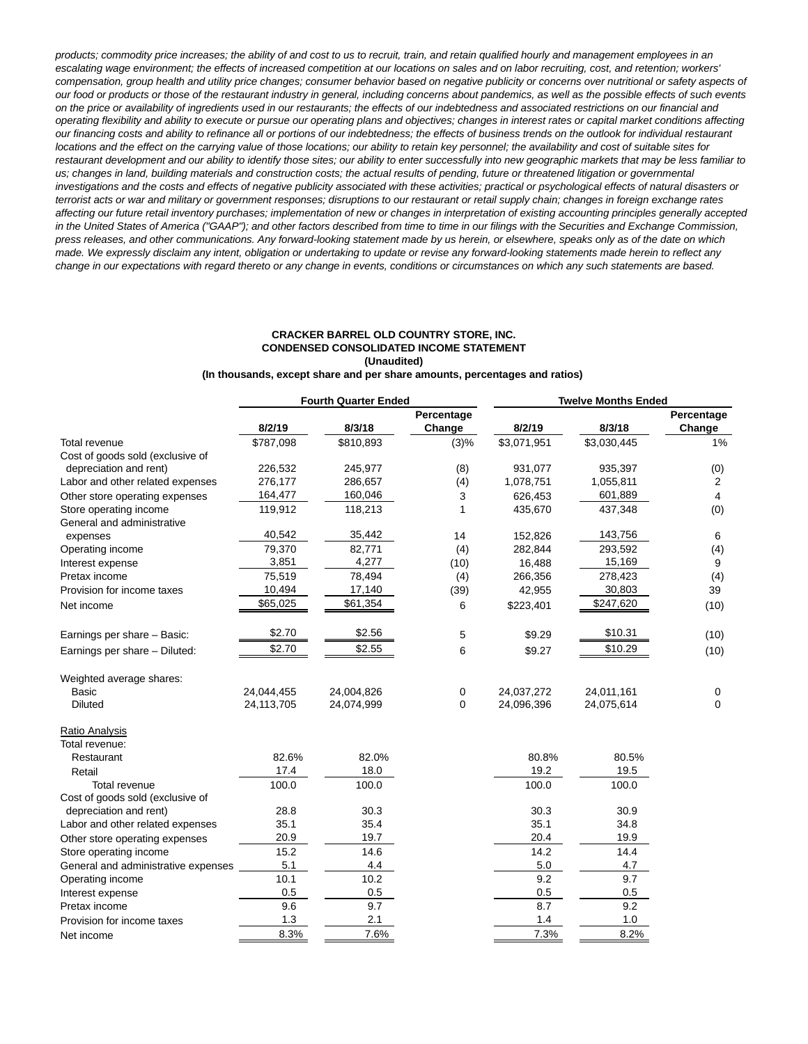products; commodity price increases; the ability of and cost to us to recruit, train, and retain qualified hourly and management employees in an escalating wage environment; the effects of increased competition at our locations on sales and on labor recruiting, cost, and retention; workers' compensation, group health and utility price changes; consumer behavior based on negative publicity or concerns over nutritional or safety aspects of our food or products or those of the restaurant industry in general, including concerns about pandemics, as well as the possible effects of such events on the price or availability of ingredients used in our restaurants; the effects of our indebtedness and associated restrictions on our financial and operating flexibility and ability to execute or pursue our operating plans and objectives; changes in interest rates or capital market conditions affecting our financing costs and ability to refinance all or portions of our indebtedness; the effects of business trends on the outlook for individual restaurant locations and the effect on the carrying value of those locations; our ability to retain key personnel; the availability and cost of suitable sites for restaurant development and our ability to identify those sites; our ability to enter successfully into new geographic markets that may be less familiar to us; changes in land, building materials and construction costs; the actual results of pending, future or threatened litigation or governmental investigations and the costs and effects of negative publicity associated with these activities; practical or psychological effects of natural disasters or terrorist acts or war and military or government responses; disruptions to our restaurant or retail supply chain; changes in foreign exchange rates affecting our future retail inventory purchases; implementation of new or changes in interpretation of existing accounting principles generally accepted in the United States of America ("GAAP"); and other factors described from time to time in our filings with the Securities and Exchange Commission, press releases, and other communications. Any forward-looking statement made by us herein, or elsewhere, speaks only as of the date on which made. We expressly disclaim any intent, obligation or undertaking to update or revise any forward-looking statements made herein to reflect any change in our expectations with regard thereto or any change in events, conditions or circumstances on which any such statements are based.

#### **CRACKER BARREL OLD COUNTRY STORE, INC. CONDENSED CONSOLIDATED INCOME STATEMENT (Unaudited)**

**(In thousands, except share and per share amounts, percentages and ratios)**

|                                     |            | <b>Fourth Quarter Ended</b> |            | <b>Twelve Months Ended</b> |             |                |  |  |
|-------------------------------------|------------|-----------------------------|------------|----------------------------|-------------|----------------|--|--|
|                                     |            |                             | Percentage |                            |             | Percentage     |  |  |
|                                     | 8/2/19     | 8/3/18                      | Change     | 8/2/19                     | 8/3/18      | Change         |  |  |
| Total revenue                       | \$787,098  | \$810,893                   | (3)%       | \$3,071,951                | \$3,030,445 | 1%             |  |  |
| Cost of goods sold (exclusive of    |            |                             |            |                            |             |                |  |  |
| depreciation and rent)              | 226,532    | 245,977                     | (8)        | 931,077                    | 935,397     | (0)            |  |  |
| Labor and other related expenses    | 276,177    | 286,657                     | (4)        | 1,078,751                  | 1,055,811   | 2              |  |  |
| Other store operating expenses      | 164,477    | 160,046                     | 3          | 626,453                    | 601,889     | $\overline{4}$ |  |  |
| Store operating income              | 119,912    | 118,213                     | 1          | 435,670                    | 437,348     | (0)            |  |  |
| General and administrative          |            |                             |            |                            |             |                |  |  |
| expenses                            | 40,542     | 35,442                      | 14         | 152,826                    | 143,756     | 6              |  |  |
| Operating income                    | 79,370     | 82,771                      | (4)        | 282,844                    | 293,592     | (4)            |  |  |
| Interest expense                    | 3,851      | 4,277                       | (10)       | 16,488                     | 15,169      | 9              |  |  |
| Pretax income                       | 75,519     | 78,494                      | (4)        | 266,356                    | 278,423     | (4)            |  |  |
| Provision for income taxes          | 10,494     | 17,140                      | (39)       | 42,955                     | 30,803      | 39             |  |  |
| Net income                          | \$65,025   | \$61,354                    | 6          | \$223,401                  | \$247,620   | (10)           |  |  |
| Earnings per share - Basic:         | \$2.70     | \$2.56                      | 5          | \$9.29                     | \$10.31     | (10)           |  |  |
| Earnings per share - Diluted:       | \$2.70     | \$2.55                      | 6          | \$9.27                     | \$10.29     | (10)           |  |  |
| Weighted average shares:            |            |                             |            |                            |             |                |  |  |
| Basic                               | 24,044,455 | 24,004,826                  | 0          | 24,037,272                 | 24,011,161  | 0              |  |  |
| <b>Diluted</b>                      | 24,113,705 | 24,074,999                  | 0          | 24,096,396                 | 24,075,614  | $\Omega$       |  |  |
| Ratio Analysis                      |            |                             |            |                            |             |                |  |  |
| Total revenue:                      |            |                             |            |                            |             |                |  |  |
| Restaurant                          | 82.6%      | 82.0%                       |            | 80.8%                      | 80.5%       |                |  |  |
| Retail                              | 17.4       | 18.0                        |            | 19.2                       | 19.5        |                |  |  |
| Total revenue                       | 100.0      | 100.0                       |            | 100.0                      | 100.0       |                |  |  |
| Cost of goods sold (exclusive of    |            |                             |            |                            |             |                |  |  |
| depreciation and rent)              | 28.8       | 30.3                        |            | 30.3                       | 30.9        |                |  |  |
| Labor and other related expenses    | 35.1       | 35.4                        |            | 35.1                       | 34.8        |                |  |  |
| Other store operating expenses      | 20.9       | 19.7                        |            | 20.4                       | 19.9        |                |  |  |
| Store operating income              | 15.2       | 14.6                        |            | 14.2                       | 14.4        |                |  |  |
| General and administrative expenses | 5.1        | 4.4                         |            | 5.0                        | 4.7         |                |  |  |
| Operating income                    | 10.1       | 10.2                        |            | 9.2                        | 9.7         |                |  |  |
| Interest expense                    | 0.5        | 0.5                         |            | 0.5                        | 0.5         |                |  |  |
| Pretax income                       | 9.6        | 9.7                         |            | 8.7                        | 9.2         |                |  |  |
| Provision for income taxes          | 1.3        | 2.1                         |            | 1.4                        | 1.0         |                |  |  |
| Net income                          | 8.3%       | 7.6%                        |            | 7.3%                       | 8.2%        |                |  |  |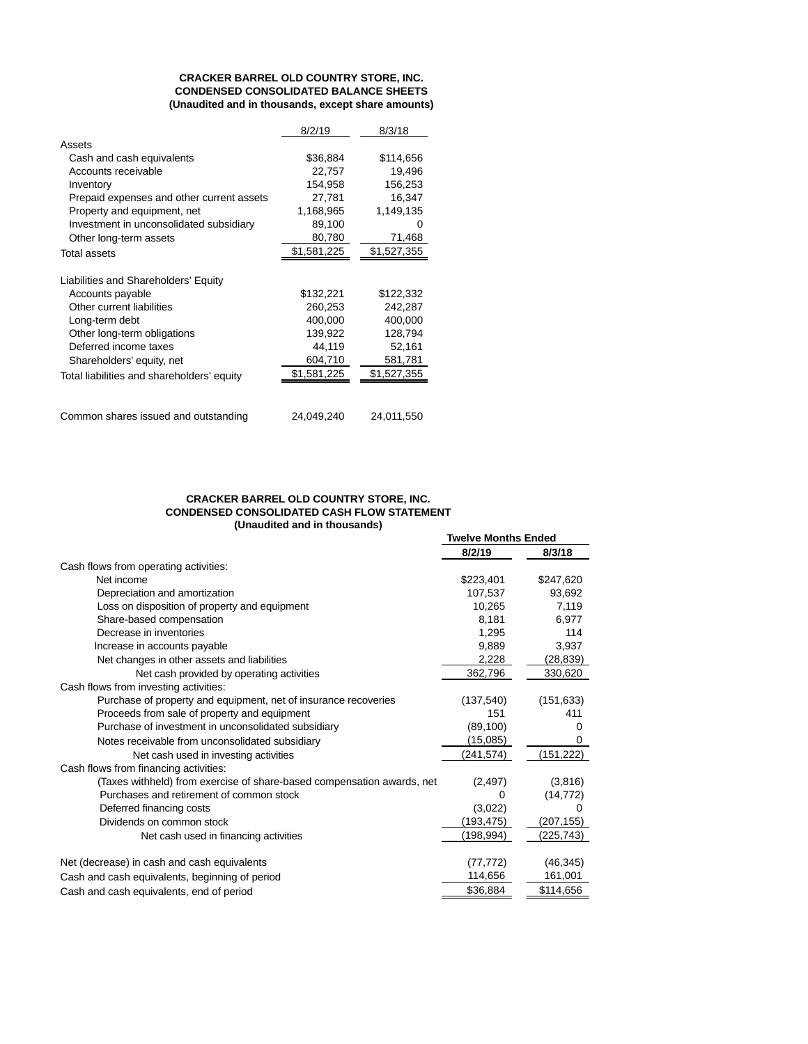#### **CRACKER BARREL OLD COUNTRY STORE, INC. CONDENSED CONSOLIDATED BALANCE SHEETS (Unaudited and in thousands, except share amounts)**

|                                                                                                                                                                                                                                            | 8/2/19                                                                         | 8/3/18                                                                         |
|--------------------------------------------------------------------------------------------------------------------------------------------------------------------------------------------------------------------------------------------|--------------------------------------------------------------------------------|--------------------------------------------------------------------------------|
| Assets                                                                                                                                                                                                                                     |                                                                                |                                                                                |
| Cash and cash equivalents                                                                                                                                                                                                                  | \$36,884                                                                       | \$114,656                                                                      |
| Accounts receivable                                                                                                                                                                                                                        | 22,757                                                                         | 19,496                                                                         |
| Inventory                                                                                                                                                                                                                                  | 154,958                                                                        | 156,253                                                                        |
| Prepaid expenses and other current assets                                                                                                                                                                                                  | 27,781                                                                         | 16,347                                                                         |
| Property and equipment, net                                                                                                                                                                                                                | 1,168,965                                                                      | 1,149,135                                                                      |
| Investment in unconsolidated subsidiary                                                                                                                                                                                                    | 89,100                                                                         |                                                                                |
| Other long-term assets                                                                                                                                                                                                                     | 80,780                                                                         | 71,468                                                                         |
| Total assets                                                                                                                                                                                                                               | \$1,581,225                                                                    | \$1,527,355                                                                    |
| Liabilities and Shareholders' Equity<br>Accounts payable<br>Other current liabilities<br>Long-term debt<br>Other long-term obligations<br>Deferred income taxes<br>Shareholders' equity, net<br>Total liabilities and shareholders' equity | \$132,221<br>260,253<br>400,000<br>139,922<br>44,119<br>604,710<br>\$1,581,225 | \$122,332<br>242,287<br>400,000<br>128,794<br>52,161<br>581,781<br>\$1,527,355 |

Common shares issued and outstanding 24,049,240 24,011,550

#### **CRACKER BARREL OLD COUNTRY STORE, INC. CONDENSED CONSOLIDATED CASH FLOW STATEMENT (Unaudited and in thousands)**

|                                                                        | <b>Twelve Months Ended</b> |            |
|------------------------------------------------------------------------|----------------------------|------------|
|                                                                        | 8/2/19                     | 8/3/18     |
| Cash flows from operating activities:                                  |                            |            |
| Net income                                                             | \$223,401                  | \$247,620  |
| Depreciation and amortization                                          | 107,537                    | 93,692     |
| Loss on disposition of property and equipment                          | 10,265                     | 7,119      |
| Share-based compensation                                               | 8,181                      | 6,977      |
| Decrease in inventories                                                | 1,295                      | 114        |
| Increase in accounts payable                                           | 9,889                      | 3,937      |
| Net changes in other assets and liabilities                            | 2.228                      | (28,839)   |
| Net cash provided by operating activities                              | 362,796                    | 330,620    |
| Cash flows from investing activities:                                  |                            |            |
| Purchase of property and equipment, net of insurance recoveries        | (137, 540)                 | (151, 633) |
| Proceeds from sale of property and equipment                           | 151                        | 411        |
| Purchase of investment in unconsolidated subsidiary                    | (89, 100)                  | 0          |
| Notes receivable from unconsolidated subsidiary                        | (15,085)                   | 0          |
| Net cash used in investing activities                                  | (241,574)                  | (151, 222) |
| Cash flows from financing activities:                                  |                            |            |
| (Taxes withheld) from exercise of share-based compensation awards, net | (2, 497)                   | (3,816)    |
| Purchases and retirement of common stock                               | 0                          | (14, 772)  |
| Deferred financing costs                                               | (3,022)                    | 0          |
| Dividends on common stock                                              | (193,475)                  | (207,155)  |
| Net cash used in financing activities                                  | (198, 994)                 | (225,743)  |
|                                                                        |                            |            |
| Net (decrease) in cash and cash equivalents                            | (77, 772)                  | (46, 345)  |
| Cash and cash equivalents, beginning of period                         | 114,656                    | 161,001    |
| Cash and cash equivalents, end of period                               | \$36,884                   | \$114,656  |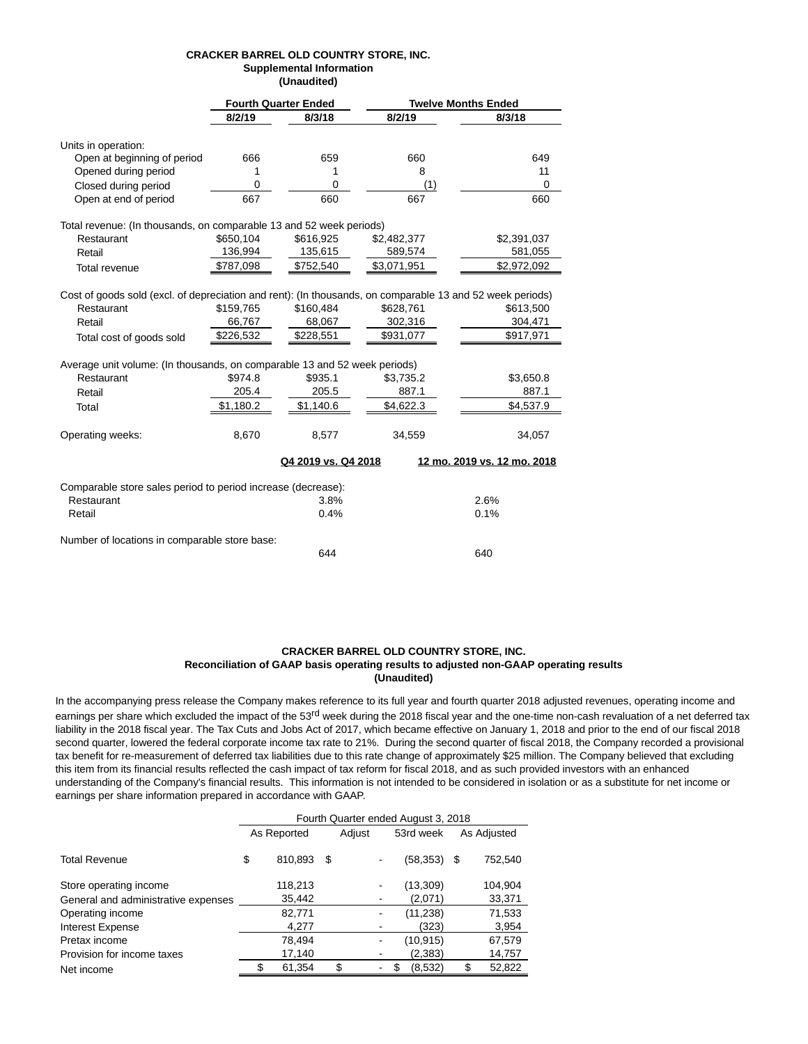#### **CRACKER BARREL OLD COUNTRY STORE, INC. Supplemental Information (Unaudited)**

|                                                                                                           | <b>Fourth Quarter Ended</b> |                     | <b>Twelve Months Ended</b> |                             |  |  |
|-----------------------------------------------------------------------------------------------------------|-----------------------------|---------------------|----------------------------|-----------------------------|--|--|
|                                                                                                           | 8/2/19                      | 8/3/18              | 8/2/19                     | 8/3/18                      |  |  |
|                                                                                                           |                             |                     |                            |                             |  |  |
| Units in operation:                                                                                       | 666                         | 659                 | 660                        | 649                         |  |  |
| Open at beginning of period                                                                               | 1                           | 1                   | 8                          | 11                          |  |  |
| Opened during period                                                                                      | 0                           | 0                   |                            | $\Omega$                    |  |  |
| Closed during period                                                                                      |                             |                     | (1)                        |                             |  |  |
| Open at end of period                                                                                     | 667                         | 660                 | 667                        | 660                         |  |  |
| Total revenue: (In thousands, on comparable 13 and 52 week periods)                                       |                             |                     |                            |                             |  |  |
| Restaurant                                                                                                | \$650,104                   | \$616,925           | \$2,482,377                | \$2,391,037                 |  |  |
| Retail                                                                                                    | 136,994                     | 135,615             | 589,574                    | 581,055                     |  |  |
| Total revenue                                                                                             | \$787,098                   | \$752,540           | \$3,071,951                | \$2,972,092                 |  |  |
|                                                                                                           |                             |                     |                            |                             |  |  |
| Cost of goods sold (excl. of depreciation and rent): (In thousands, on comparable 13 and 52 week periods) |                             |                     |                            |                             |  |  |
| Restaurant                                                                                                | \$159,765                   | \$160,484           | \$628,761                  | \$613,500                   |  |  |
| Retail                                                                                                    | 66,767                      | 68,067              | 302,316                    | 304,471                     |  |  |
| Total cost of goods sold                                                                                  | \$226,532                   | \$228,551           | \$931,077                  | \$917,971                   |  |  |
|                                                                                                           |                             |                     |                            |                             |  |  |
| Average unit volume: (In thousands, on comparable 13 and 52 week periods)                                 |                             |                     |                            |                             |  |  |
| Restaurant                                                                                                | \$974.8                     | \$935.1             | \$3,735.2                  | \$3,650.8                   |  |  |
| Retail                                                                                                    | 205.4                       | 205.5               | 887.1                      | 887.1                       |  |  |
| Total                                                                                                     | \$1,180.2                   | \$1,140.6           | \$4,622.3                  | \$4,537.9                   |  |  |
|                                                                                                           |                             |                     |                            |                             |  |  |
| Operating weeks:                                                                                          | 8.670                       | 8.577               | 34,559                     | 34,057                      |  |  |
|                                                                                                           |                             | Q4 2019 vs. Q4 2018 |                            | 12 mo. 2019 vs. 12 mo. 2018 |  |  |
|                                                                                                           |                             |                     |                            |                             |  |  |
| Comparable store sales period to period increase (decrease):                                              |                             |                     |                            |                             |  |  |
| Restaurant                                                                                                |                             | 3.8%                |                            | 2.6%                        |  |  |
| Retail                                                                                                    |                             | 0.4%                |                            | 0.1%                        |  |  |
| Number of locations in comparable store base:                                                             |                             |                     |                            |                             |  |  |
|                                                                                                           |                             | 644                 |                            | 640                         |  |  |

#### **CRACKER BARREL OLD COUNTRY STORE, INC. Reconciliation of GAAP basis operating results to adjusted non-GAAP operating results (Unaudited)**

In the accompanying press release the Company makes reference to its full year and fourth quarter 2018 adjusted revenues, operating income and earnings per share which excluded the impact of the 53<sup>rd</sup> week during the 2018 fiscal year and the one-time non-cash revaluation of a net deferred tax liability in the 2018 fiscal year. The Tax Cuts and Jobs Act of 2017, which became effective on January 1, 2018 and prior to the end of our fiscal 2018 second quarter, lowered the federal corporate income tax rate to 21%. During the second quarter of fiscal 2018, the Company recorded a provisional tax benefit for re-measurement of deferred tax liabilities due to this rate change of approximately \$25 million. The Company believed that excluding this item from its financial results reflected the cash impact of tax reform for fiscal 2018, and as such provided investors with an enhanced understanding of the Company's financial results. This information is not intended to be considered in isolation or as a substitute for net income or earnings per share information prepared in accordance with GAAP.

|                                     | Fourth Quarter ended August 3, 2018 |         |   |        |  |               |             |         |
|-------------------------------------|-------------------------------------|---------|---|--------|--|---------------|-------------|---------|
|                                     | As Reported                         |         |   | Adjust |  | 53rd week     | As Adjusted |         |
| <b>Total Revenue</b>                | \$                                  | 810,893 | S |        |  | $(58,353)$ \$ |             | 752,540 |
| Store operating income              |                                     | 118,213 |   |        |  | (13,309)      |             | 104,904 |
| General and administrative expenses |                                     | 35,442  |   |        |  | (2,071)       |             | 33,371  |
| Operating income                    |                                     | 82,771  |   |        |  | (11, 238)     |             | 71,533  |
| Interest Expense                    |                                     | 4,277   |   |        |  | (323)         |             | 3,954   |
| Pretax income                       |                                     | 78,494  |   |        |  | (10, 915)     |             | 67,579  |
| Provision for income taxes          |                                     | 17,140  |   |        |  | (2,383)       |             | 14,757  |
| Net income                          |                                     | 61,354  |   | S      |  | (8,532)       | S           | 52,822  |